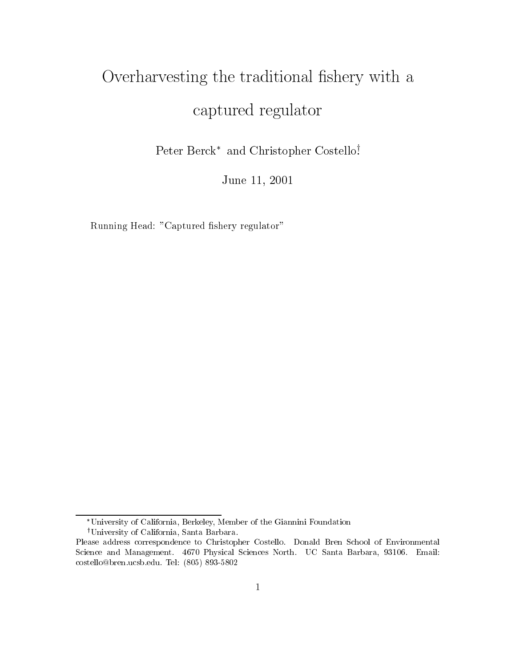# Overharvesting the traditional shery with <sup>a</sup> captured regulators and regulators are a controlled by a controlled by a controlled by a controlled by a controlled by a controlled by a controlled by a controlled by a controlled by a controlled by a controlled by a contr

Peter Berck and Christopher Costelloy .

June 11, <sup>2001</sup>

Running Head: "Captured fishery regulator"

University of California, Berkeley, Member of the Giannini Foundation <sup>†</sup>University of California, Santa Barbara.

Please address correspondence to Christopher Costello. Donald Bren School of Environmental Science and Management. 4670 Physical Sciences North. UC Santa Barbara, 93106. Email: costello@bren.ucsb.edu. Tel: (805) 893-5802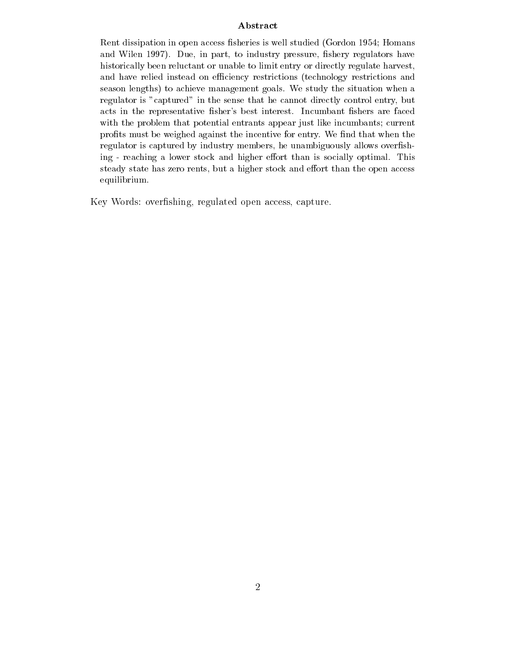# Abstract

Rent dissipation in open access fisheries is well studied (Gordon 1954; Homans and will not the state  $\alpha$  in part, to industry pressure, when  $\alpha$ historically been reluctant or unable to limit entry or directly regulate harvest,and have relied instead on the economic process (technology restrictions and  $\alpha$ season lengths) to achieve management goals. We study the situation when a regulator is "captured" in the sense that he cannot directly control entry, but acts in the representative fisher's best interest. Incumbant fishers are faced with the problem that potential entrants appear just like incumbants; current prots must be weighed against the incentive for entry. We nd that when the regulator is captured by industry members, he unambiguously allows overfishing - reaching <sup>a</sup> lower stock and higher eort than is socially optimal. This steady state has zero rents, but a higher stock and effort than the open access equilibrium.

Key Words: overshing, regulated open access, capture.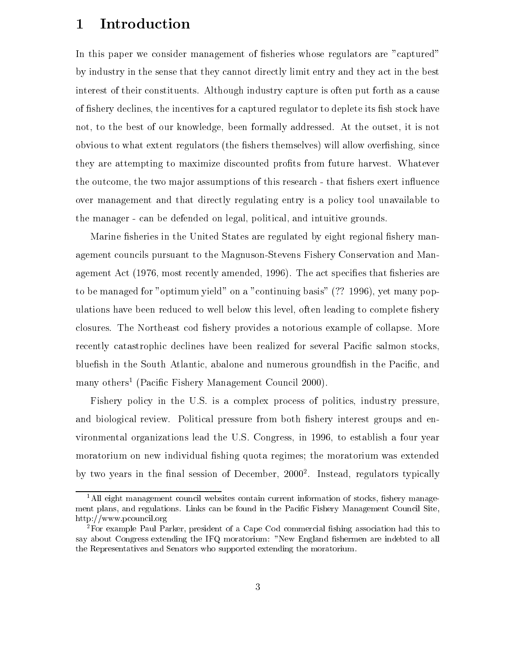## 1Introduction

In this paper we consider management of fisheries whose regulators are "captured" by industry in the sense that they cannot directly limit entry and they act in the best interest of their constituents. Although industry capture is often put forth as a cause of fishery declines, the incentives for a captured regulator to deplete its fish stock have not, to the best of our knowledge, been formally addressed. At the outset, it is not obvious to what extent regulators (the fishers themselves) will allow overfishing, since they are attempting to maximize discounted profits from future harvest. Whatever the outcome, the two major assumptions of this research - that fishers exert influence over management and that directly regulating entry is a policy tool unavailable to the manager - can be defended on legal, political, and intuitive grounds.

Marine fisheries in the United States are regulated by eight regional fishery management councils pursuant to the Magnuson-Stevens Fishery Conservation and Management Act  $(1976, \text{most recently amended}, 1996)$ . The act specifies that fisheries are to be managed for "optimum yield" on a "continuing basis" (?? 1996), yet many populations have been reduced to well below this level, often leading to complete fishery closures. The Northeast cod fishery provides a notorious example of collapse. More recently catastrophic declines have been realized for several Pacific salmon stocks, blue fish in the South Atlantic, abalone and numerous ground fish in the Pacific, and many others<sup>1</sup> (Pacific Fishery Management Council 2000).

Fishery policy in the U.S. is a complex process of politics, industry pressure, and biological review. Political pressure from both fishery interest groups and environmental organizations lead the U.S. Congress, in 1996, to establish a four year moratorium on new individual fishing quota regimes; the moratorium was extended by two years in the nal session of December, 20002 . Instead, regulators typically

 $1<sup>1</sup>$ All eight management council websites contain current information of stocks, fishery management plans, and regulations. Links can be found in the Pacific Fishery Management Council Site, http://www.pcouncil.org

<sup>&</sup>lt;sup>2</sup>For example Paul Parker, president of a Cape Cod commercial fishing association had this to say about Congress extending the IFQ moratorium: "New England fishermen are indebted to all the Representatives and Senators who supported extending the moratorium.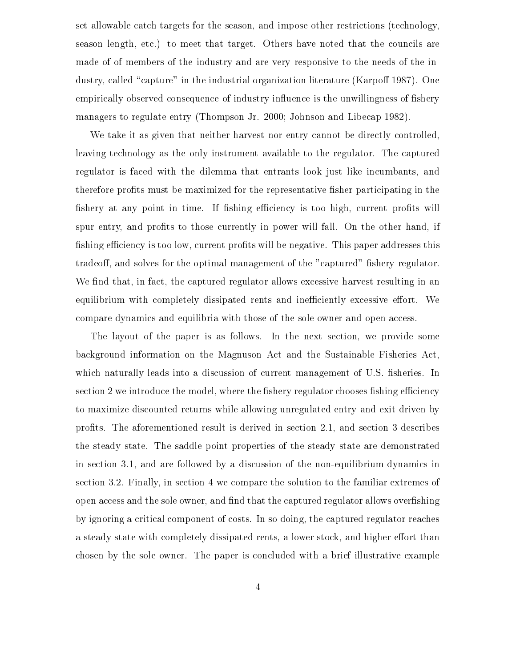set allowable catch targets for the season, and impose other restrictions (technology, season length, etc.) to meet that target. Others have noted that the councils are made of of members of the industry and are very responsive to the needs of the industry, called "capture" in the industrial organization literature (Karpoff 1987). One empirically observed consequence of industry influence is the unwillingness of fishery managers to regulate entry (Thompson Jr. 2000; Johnson and Libecap 1982).

We take it as given that neither harvest nor entry cannot be directly controlled, leaving technology as the only instrument available to the regulator. The captured regulator is faced with the dilemma that entrants look just like incumbants, and therefore profits must be maximized for the representative fisher participating in the fishery at any point in time. If fishing efficiency is too high, current profits will spur entry, and profits to those currently in power will fall. On the other hand, if fishing efficiency is too low, current profits will be negative. This paper addresses this tradeoff, and solves for the optimal management of the "captured" fishery regulator. We find that, in fact, the captured regulator allows excessive harvest resulting in an equilibrium with completely dissipated rents and inefficiently excessive effort. We compare dynamics and equilibria with those of the sole owner and open access.

The layout of the paper is as follows. In the next section, we provide some background information on the Magnuson Act and the Sustainable Fisheries Act, which naturally leads into a discussion of current management of U.S. fisheries. In section 2 we introduce the model, where the fishery regulator chooses fishing efficiency to maximize discounted returns while allowing unregulated entry and exit driven by prots. The aforementioned result is derived in section 2.1, and section 3 describes the steady state. The saddle point properties of the steady state are demonstrated in section 3.1, and are followed by a discussion of the non-equilibrium dynamics in section 3.2. Finally, in section 4 we compare the solution to the familiar extremes of open access and the sole owner, and find that the captured regulator allows overfishing by ignoring a critical component of costs. In so doing, the captured regulator reaches a steady state with completely dissipated rents, a lower stock, and higher effort than chosen by the sole owner. The paper is concluded with a brief illustrative example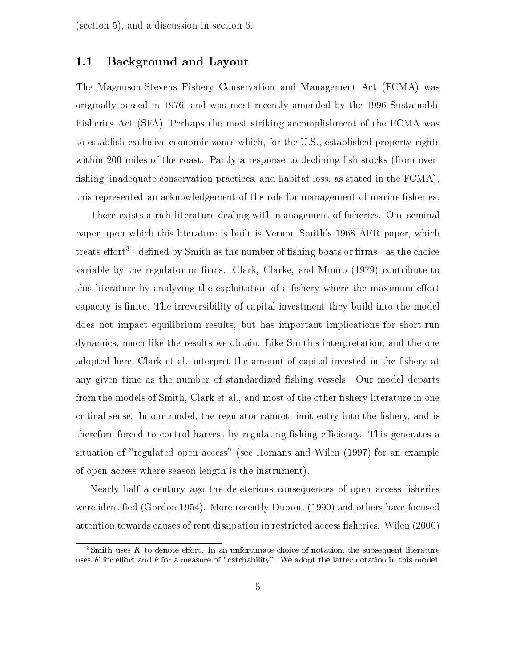(section 5), and a discussion in section 6.

#### 1.1Background and Layout

The Magnuson-Stevens Fishery Conservation and Management Act (FCMA) was originally passed in 1976, and was most recently amended by the 1996 Sustainable Fisheries Act (SFA). Perhaps the most striking accomplishment of the FCMA was to establish exclusive economic zones which, for the U.S., established property rights within 200 miles of the coast. Partly a response to declining fish stocks (from overfishing, inadequate conservation practices, and habitat loss, as stated in the  $FCMA$ ), this represented an acknowledgement of the role for management of marine fisheries.

There exists a rich literature dealing with management of fisheries. One seminal paper upon which this literature is built is Vernon Smith's 1968 AER paper, which treats enort - denned by Smith as the number of fishing boats or firms - as the choice variable by the regulator or firms. Clark, Clarke, and Munro  $(1979)$  contribute to this literature by analyzing the exploitation of a fishery where the maximum effort capacity is finite. The irreversibility of capital investment they build into the model does not impact equilibrium results, but has important implications for short-run dynamics, much like the results we obtain. Like Smith's interpretation, and the one adopted here, Clark et al. interpret the amount of capital invested in the fishery at any given time as the number of standardized fishing vessels. Our model departs from the models of Smith, Clark et al., and most of the other fishery literature in one critical sense. In our model, the regulator cannot limit entry into the fishery, and is therefore forced to control harvest by regulating fishing efficiency. This generates a situation of "regulated open access" (see Homans and Wilen (1997) for an example of open access where season length is the instrument).

Nearly half a century ago the deleterious consequences of open access fisheries were identied (Gordon 1954). More recently Dupont (1990) and others have focused attention towards causes of rent dissipation in restricted access fisheries. Wilen (2000)

 ${}^{3}$ Smith uses K to denote effort. In an unfortunate choice of notation, the subsequent literature uses  $E$  for effort and  $k$  for a measure of "catchability". We adopt the latter notation in this model.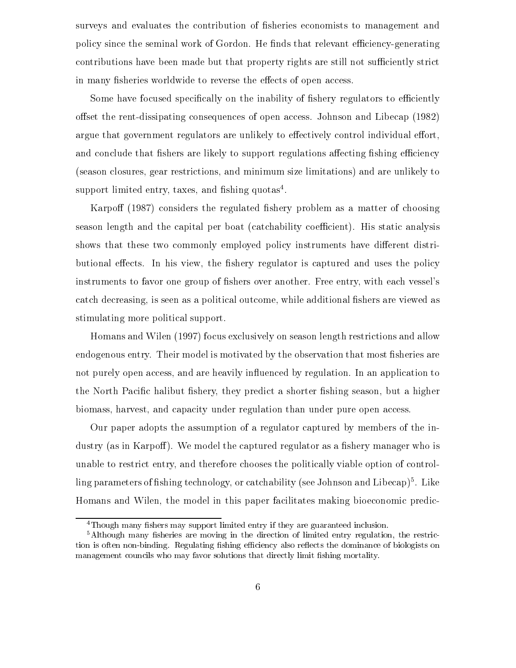surveys and evaluates the contribution of fisheries economists to management and policy since the seminal work of Gordon. He finds that relevant efficiency-generating contributions have been made but that property rights are still not sufficiently strict in many fisheries worldwide to reverse the effects of open access.

Some have focused specifically on the inability of fishery regulators to efficiently offset the rent-dissipating consequences of open access. Johnson and Libecap (1982) argue that government regulators are unlikely to effectively control individual effort, and conclude that fishers are likely to support regulations affecting fishing efficiency (season closures, gear restrictions, and minimum size limitations) and are unlikely to support ilmited entry, taxes, and iisiling quotas<sup>-</sup>.

Karpoff  $(1987)$  considers the regulated fishery problem as a matter of choosing season length and the capital per boat (catchability coefficient). His static analysis shows that these two commonly employed policy instruments have different distributional effects. In his view, the fishery regulator is captured and uses the policy instruments to favor one group of fishers over another. Free entry, with each vessel's catch decreasing, is seen as a political outcome, while additional fishers are viewed as stimulating more political support.

Homans and Wilen (1997) focus exclusively on season length restrictions and allow endogenous entry. Their model is motivated by the observation that most fisheries are not purely open access, and are heavily influenced by regulation. In an application to the North Pacific halibut fishery, they predict a shorter fishing season, but a higher biomass, harvest, and capacity under regulation than under pure open access.

Our paper adopts the assumption of a regulator captured by members of the industry (as in Karpoff). We model the captured regulator as a fishery manager who is unable to restrict entry, and therefore chooses the politically viable option of controlling parameters of shing technology, or catchability (see Johnson and Libecap)5 . Like Homans and Wilen, the model in this paper facilitates making bioeconomic predic-

<sup>&</sup>lt;sup>4</sup>Though many fishers may support limited entry if they are guaranteed inclusion.

 ${}^{5}$ Although many fisheries are moving in the direction of limited entry regulation, the restriction is often non-binding. Regulating fishing efficiency also reflects the dominance of biologists on management councils who may favor solutions that directly limit fishing mortality.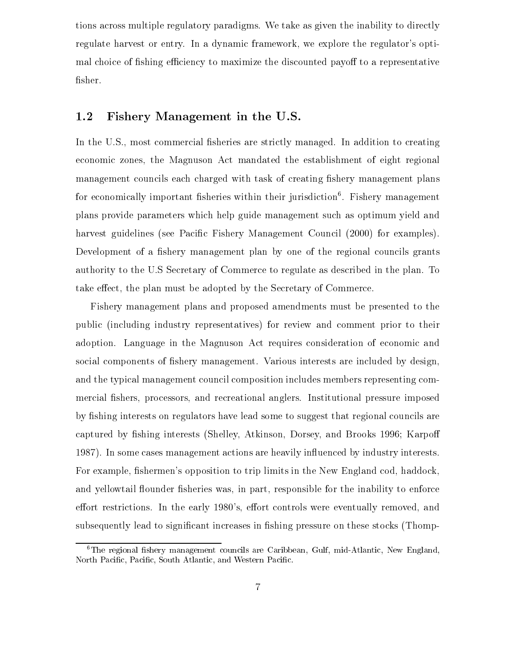tions across multiple regulatory paradigms. We take as given the inability to directly regulate harvest or entry. In a dynamic framework, we explore the regulator's optimal choice of fishing efficiency to maximize the discounted payoff to a representative fisher.

# Fishery Management in the U.S.

In the U.S., most commercial fisheries are strictly managed. In addition to creating economic zones, the Magnuson Act mandated the establishment of eight regional management councils each charged with task of creating fishery management plans for economically important sheries within their jurisdiction6 . Fishery management plans provide parameters which help guide management such as optimum yield and harvest guidelines (see Pacific Fishery Management Council (2000) for examples). Development of a fishery management plan by one of the regional councils grants authority to the U.S Secretary of Commerce to regulate as described in the plan. To take effect, the plan must be adopted by the Secretary of Commerce.

Fishery management plans and proposed amendments must be presented to the public (including industry representatives) for review and comment prior to their adoption. Language in the Magnuson Act requires consideration of economic and social components of fishery management. Various interests are included by design, and the typical management council composition includes members representing commercial fishers, processors, and recreational anglers. Institutional pressure imposed by fishing interests on regulators have lead some to suggest that regional councils are captured by fishing interests (Shelley, Atkinson, Dorsey, and Brooks 1996; Karpoff 1987). In some cases management actions are heavily in
uenced by industry interests. For example, fishermen's opposition to trip limits in the New England cod, haddock, and yellowtail flounder fisheries was, in part, responsible for the inability to enforce effort restrictions. In the early 1980's, effort controls were eventually removed, and subsequently lead to significant increases in fishing pressure on these stocks (Thomp-

 ${}^6$ The regional fishery management councils are Caribbean, Gulf, mid-Atlantic, New England, North Pacific, Pacific, South Atlantic, and Western Pacific.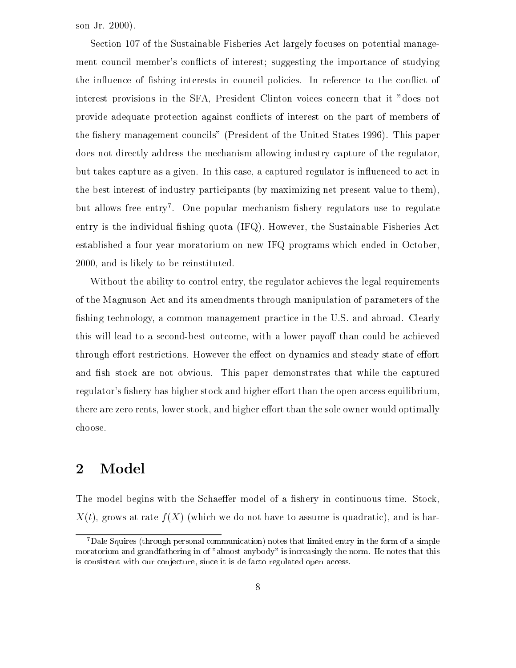son Jr. 2000).

Section 107 of the Sustainable Fisheries Act largely focuses on potential management council member's conflicts of interest; suggesting the importance of studying the influence of fishing interests in council policies. In reference to the conflict of interest provisions in the SFA, President Clinton voices concern that it "does not provide adequate protection against conflicts of interest on the part of members of the fishery management councils" (President of the United States 1996). This paper does not directly address the mechanism allowing industry capture of the regulator, but takes capture as a given. In this case, a captured regulator is in
uenced to act in the best interest of industry participants (by maximizing net present value to them), but allows free entry . One popular mechanism fishery regulators use to regulate entry is the individual fishing quota  $(IFQ)$ . However, the Sustainable Fisheries Act established a four year moratorium on new IFQ programs which ended in October, 2000, and is likely to be reinstituted.

Without the ability to control entry, the regulator achieves the legal requirements of the Magnuson Act and its amendments through manipulation of parameters of the shing technology, a common management practice in the U.S. and abroad. Clearly this will lead to a second-best outcome, with a lower payoff than could be achieved through effort restrictions. However the effect on dynamics and steady state of effort and fish stock are not obvious. This paper demonstrates that while the captured regulator's fishery has higher stock and higher effort than the open access equilibrium, there are zero rents, lower stock, and higher effort than the sole owner would optimally choose.

#### 2Model

The model begins with the Schaeffer model of a fishery in continuous time. Stock,  $X(t)$ , grows at rate  $f(X)$  (which we do not have to assume is quadratic), and is har-

<sup>7</sup>Dale Squires (through personal communication) notes that limited entry in the form of a simple moratorium and grandfathering in of "almost anybody" is increasingly the norm. He notes that this is consistent with our conjecture, since it is de facto regulated open access.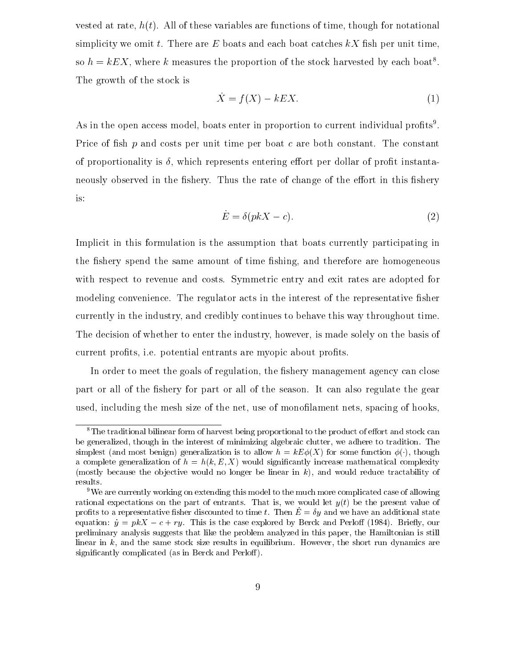vested at rate,  $h(t)$ . All of these variables are functions of time, though for notational simplicity we omit t. There are  $E$  boats and each boat catches  $kX$  fish per unit time, so  $h = kEX$ , where k measures the proportion of the stock harvested by each boat<sup>8</sup>. The growth of the stock is

$$
\dot{X} = f(X) - kEX.\tag{1}
$$

As in the open access model, boats enter in proportion to current individual profits". Price of fish  $p$  and costs per unit time per boat  $c$  are both constant. The constant of proportionality is  $\delta$ , which represents entering effort per dollar of profit instantaneously observed in the fishery. Thus the rate of change of the effort in this fishery is:

$$
\dot{E} = \delta(pkX - c). \tag{2}
$$

Implicit in this formulation is the assumption that boats currently participating in the fishery spend the same amount of time fishing, and therefore are homogeneous with respect to revenue and costs. Symmetric entry and exit rates are adopted for modeling convenience. The regulator acts in the interest of the representative fisher currently in the industry, and credibly continues to behave this way throughout time. The decision of whether to enter the industry, however, is made solely on the basis of current profits, i.e. potential entrants are myopic about profits.

In order to meet the goals of regulation, the fishery management agency can close part or all of the fishery for part or all of the season. It can also regulate the gear used, including the mesh size of the net, use of monolament nets, spacing of hooks,

 ${}^8$ The traditional bilinear form of harvest being proportional to the product of effort and stock can be generalized, though in the interest of minimizing algebraic clutter, we adhere to tradition. The simplest (and most benign) generalization is to allow  $h = kE\phi(X)$  for some function  $\phi(\cdot)$ , though a complete generalization of  $h = h(k, E, X)$  would significantly increase mathematical complexity (mostly because the objective would no longer be linear in  $k$ ), and would reduce tractability of results.

<sup>9</sup>We are currently working on extending this model to the much more complicated case of allowing rational expectations on the part of entrants. That is, we would let  $y(t)$  be the present value of profits to a representative fisher discounted to time t. Then  $\dot{E} = \delta y$  and we have an additional state equation:  $\dot{y} = p kX - c + ry$ . This is the case explored by Berck and Perloff (1984). Briefly, our preliminary analysis suggests that like the problem analyzed in this paper, the Hamiltonian is still linear in  $k$ , and the same stock size results in equilibrium. However, the short run dynamics are significantly complicated (as in Berck and Perloff).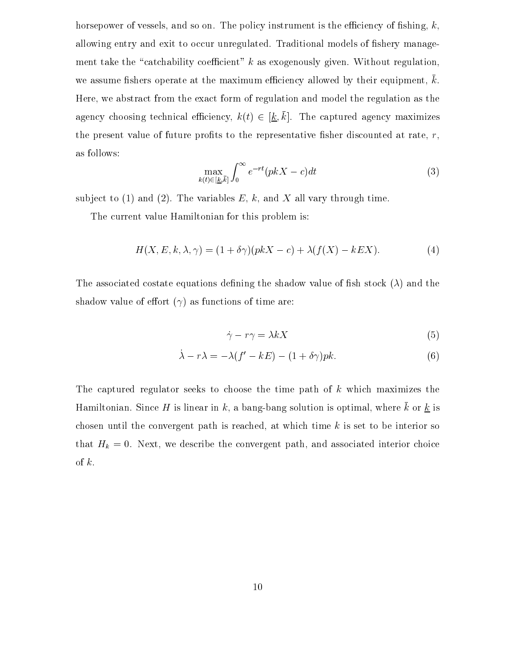horsepower of vessels, and so on. The policy instrument is the efficiency of fishing,  $k$ , allowing entry and exit to occur unregulated. Traditional models of fishery management take the "catchability coefficient" k as exogenously given. Without regulation, we assume fishers operate at the maximum efficiency allowed by their equipment,  $k$ . Here, we abstract from the exact form of regulation and model the regulation as the agency choosing technical efficiency,  $k(t) \in [\underline{k}, \overline{k}]$ . The captured agency maximizes the present value of future profits to the representative fisher discounted at rate,  $r$ , as follows:

$$
\max_{k(t)\in[\underline{k},\overline{k}]} \int_0^\infty e^{-rt}(pkX - c)dt\tag{3}
$$

subject to (1) and (2). The variables  $E, k$ , and  $X$  all vary through time.

The current value Hamiltonian for this problem is:

$$
H(X, E, k, \lambda, \gamma) = (1 + \delta \gamma)(pkX - c) + \lambda(f(X) - kEX).
$$
 (4)

The associated costate equations defining the shadow value of fish stock  $(\lambda)$  and the shadow value of effort  $(\gamma)$  as functions of time are:

$$
\dot{\gamma} - r\gamma = \lambda k X \tag{5}
$$

$$
\dot{\lambda} - r\lambda = -\lambda(f' - kE) - (1 + \delta\gamma)pk. \tag{6}
$$

The captured regulator seeks to choose the time path of  $k$  which maximizes the Hamiltonian. Since H is linear in k, a bang-bang solution is optimal, where  $\bar{k}$  or  $\underline{k}$  is chosen until the convergent path is reached, at which time  $k$  is set to be interior so that  $H_k = 0$ . Next, we describe the convergent path, and associated interior choice of  $k$ .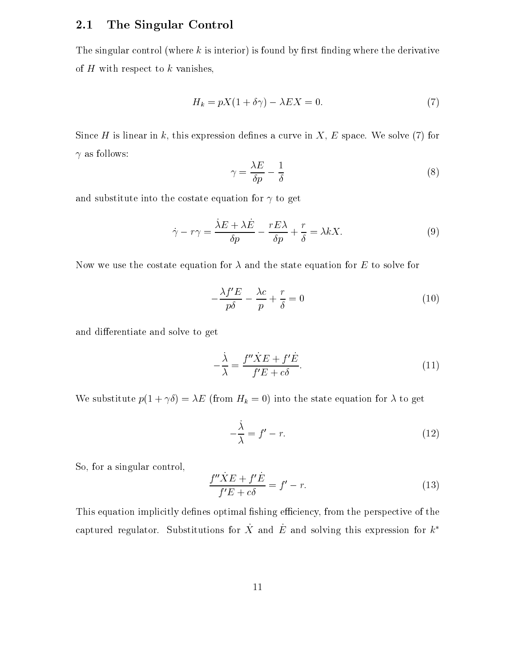#### 2.1The Singular Control

The singular control (where  $k$  is interior) is found by first finding where the derivative of  $H$  with respect to  $k$  vanishes,

$$
H_k = pX(1 + \delta \gamma) - \lambda EX = 0. \tag{7}
$$

Since H is linear in k, this expression defines a curve in  $X, E$  space. We solve (7) for  $\gamma$  as follows:

$$
\gamma = \frac{\lambda E}{\delta p} - \frac{1}{\delta} \tag{8}
$$

and substitute into the costate equation for  $\gamma$  to get

$$
\dot{\gamma} - r\gamma = \frac{\dot{\lambda}E + \lambda\dot{E}}{\delta p} - \frac{rE\lambda}{\delta p} + \frac{r}{\delta} = \lambda kX.
$$
\n(9)

Now we use the costate equation for  $\lambda$  and the state equation for E to solve for

$$
-\frac{\lambda f'E}{p\delta} - \frac{\lambda c}{p} + \frac{r}{\delta} = 0\tag{10}
$$

and differentiate and solve to get

$$
-\frac{\dot{\lambda}}{\lambda} = \frac{f''\dot{X}E + f'\dot{E}}{f'E + c\delta}.
$$
\n(11)

We substitute  $p(1 + \gamma \delta) = \lambda E$  (from  $H_k = 0$ ) into the state equation for  $\lambda$  to get

$$
-\frac{\dot{\lambda}}{\lambda} = f' - r.\tag{12}
$$

So, for a singular control,

$$
\frac{f''\dot{X}E + f'\dot{E}}{f'E + c\delta} = f' - r.
$$
\n(13)

This equation implicitly defines optimal fishing efficiency, from the perspective of the captured regulator. Substitutions for  $\dot{X}$  and  $\dot{E}$  and solving this expression for  $k^*$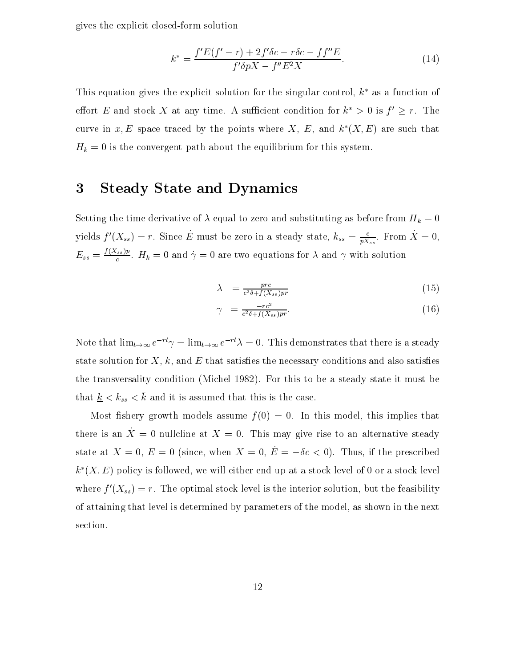gives the explicit closed-form solution

$$
k^* = \frac{f'E(f'-r) + 2f'\delta c - r\delta c - f f''E}{f'\delta pX - f''E^2X}.
$$
\n(14)

This equation gives the explicit solution for the singular control,  $k^*$  as a function of effort E and stock X at any time. A sufficient condition for  $k^* > 0$  is  $f' \geq r$ . The curve in x, E space traced by the points where X, E, and  $k^*(X, E)$  are such that  $H_k = 0$  is the convergent path about the equilibrium for this system.

### 3Steady State and Dynamics

Setting the time derivative of  $\lambda$  equal to zero and substituting as before from  $H_k = 0$ yields  $f'(\Lambda_{ss}) = r$ . Since E must be zero in a steady state,  $k_{ss} = \frac{1}{p\overline{\Lambda}_{ss}}$ . From  $\Lambda = 0$ ,  $E_{ss} = \frac{N\sqrt{N}}{c}$ .  $H_k = 0$  and  $\gamma = 0$  are two equations for  $\lambda$  and  $\gamma$  with solution

$$
\lambda = \frac{prc}{c^2 \delta + f(X_{ss})pr} \tag{15}
$$

$$
\gamma = \frac{-rc^2}{c^2 \delta + f(X_{ss})pr}.\tag{16}
$$

Note that  $\lim_{t\to\infty} e^{-rt}\gamma = \lim_{t\to\infty} e^{-rt}\lambda = 0$ . This demonstrates that there is a steady state solution for  $X, k$ , and  $E$  that satisfies the necessary conditions and also satisfies the transversality condition (Michel 1982). For this to be a steady state it must be that  $\underline{k} < k_{ss} < \overline{k}$  and it is assumed that this is the case.

Most fishery growth models assume  $f(0) = 0$ . In this model, this implies that there is an  $\dot{X} = 0$  nullcline at  $X = 0$ . This may give rise to an alternative steady state at  $X = 0$ ,  $E = 0$  (since, when  $X = 0$ ,  $\dot{E} = -\delta c < 0$ ). Thus, if the prescribed  $k^*(X, E)$  policy is followed, we will either end up at a stock level of 0 or a stock level where  $f'(X_{ss}) = r$ . The optimal stock level is the interior solution, but the feasibility of attaining that level is determined by parameters of the model, as shown in the next section.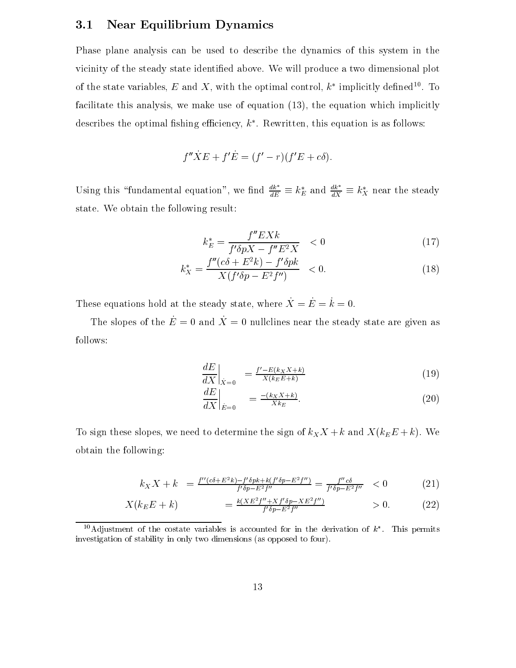#### 3.1Near Equilibrium Dynamics

Phase plane analysis can be used to describe the dynamics of this system in the vicinity of the steady state identified above. We will produce a two dimensional plot of the state variables,  $E$  and  $\Lambda$  , with the optimal control,  $\kappa$  -implicitly defined  $\Box$  . To facilitate this analysis, we make use of equation (13), the equation which implicitly describes the optimal iishing emiclency,  $\kappa$  . Rewritten, this equation is as follows:

$$
f''\dot{X}E + f'\dot{E} = (f'-r)(f'E + c\delta).
$$

Using this "fundamental equation", we find  $\frac{a\kappa}{dE} \equiv k_E^*$  and  $\frac{a\kappa}{dX} \equiv k_X^*$  near the steady state. We obtain the following result:

$$
k_E^* = \frac{f''EXk}{f'\delta pX - f''E^2X} \quad < 0 \tag{17}
$$

$$
k_X^* = \frac{f''(c\delta + E^2k) - f'\delta pk}{X(f'\delta p - E^2 f'')} < 0. \tag{18}
$$

These equations hold at the steady state, where  $\dot{X} = \dot{E} = \dot{k} = 0$ .

The slopes of the  $\dot{E} = 0$  and  $\dot{X} = 0$  nullclines near the steady state are given as follows:

$$
\left. \frac{dE}{dX} \right|_{\dot{X}=0} = \frac{f' - E(k_X X + k)}{X(k_E E + k)} \tag{19}
$$

$$
\left. \frac{dE}{dX} \right|_{\dot{E}=0} = \frac{-(k_X X + k)}{X k_E}.
$$
\n(20)

To sign these slopes, we need to determine the sign of  $k_X X + k$  and  $X(k_E E + k)$ . We obtain the following:

$$
k_X X + k = \frac{f''(c\delta + E^2 k) - f'\delta p k + k(f'\delta p - E^2 f'')}{f'\delta p - E^2 f''} = \frac{f''c\delta}{f'\delta p - E^2 f''} < 0 \tag{21}
$$

$$
X(k_E E + k) = \frac{k(X E^2 f'' + X f' \delta p - X E^2 f'')}{f' \delta p - E^2 f''} > 0.
$$
 (22)

 $\cdot$  Adjustment of the costate variables is accounted for in the derivation of  $\kappa$  . This permits investigation of stability in only two dimensions (as opposed to four).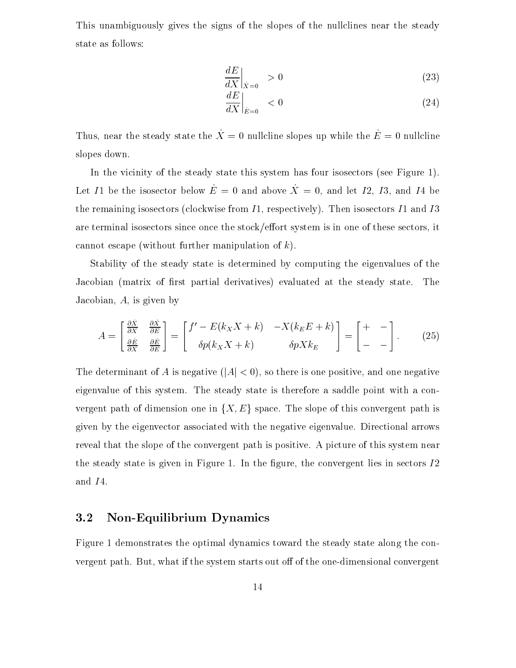This unambiguously gives the signs of the slopes of the nullclines near the steady state as follows:

$$
\left. \frac{dE}{dX} \right|_{\dot{X}=0} > 0 \tag{23}
$$

$$
\left. \frac{dE}{dX} \right|_{\dot{E}=0} < 0 \tag{24}
$$

Thus, near the steady state the  $\dot{X} = 0$  nullcline slopes up while the  $\dot{E} = 0$  nullcline slopes down.

In the vicinity of the steady state this system has four isosectors (see Figure 1). Let I1 be the isosector below  $\dot{E} = 0$  and above  $\dot{X} = 0$ , and let I2, I3, and I4 be the remaining isosectors (clockwise from  $I1$ , respectively). Then isosectors  $I1$  and  $I3$ are terminal isosectors since once the stock/effort system is in one of these sectors, it cannot escape (without further manipulation of  $k$ ).

Stability of the steady state is determined by computing the eigenvalues of the Jacobian (matrix of first partial derivatives) evaluated at the steady state. The Jacobian,  $A$ , is given by

$$
A = \begin{bmatrix} \frac{\partial \dot{X}}{\partial X} & \frac{\partial \dot{X}}{\partial E} \\ \frac{\partial \dot{E}}{\partial X} & \frac{\partial \dot{E}}{\partial E} \end{bmatrix} = \begin{bmatrix} f' - E(k_X X + k) & -X(k_E E + k) \\ \delta p(k_X X + k) & \delta p X k_E \end{bmatrix} = \begin{bmatrix} + & - \\ - & - \end{bmatrix} . \tag{25}
$$

The determinant of A is negative  $(|A| < 0)$ , so there is one positive, and one negative eigenvalue of this system. The steady state is therefore a saddle point with a convergent path of dimension one in  $\{X, E\}$  space. The slope of this convergent path is given by the eigenvector associated with the negative eigenvalue. Directional arrows reveal that the slope of the convergent path is positive. A picture of this system near the steady state is given in Figure 1. In the figure, the convergent lies in sectors  $I2$ and I4.

#### 3.2Non-Equilibrium Dynamics

Figure 1 demonstrates the optimal dynamics toward the steady state along the convergent path. But, what if the system starts out off of the one-dimensional convergent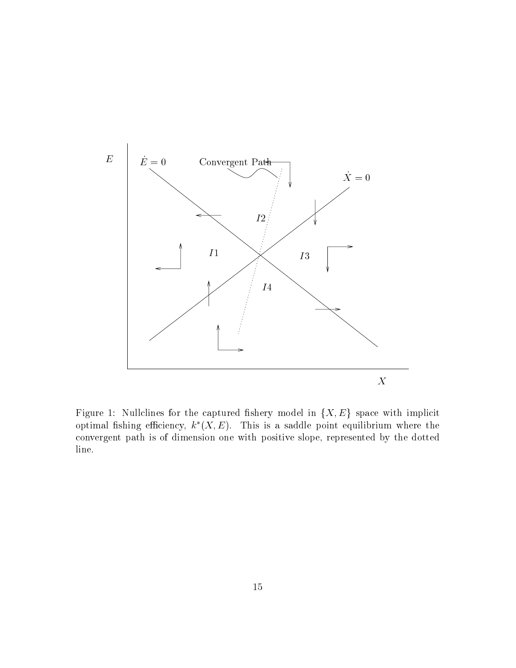

Figure 1: Nullclines for the captured fishery model in  $\{X, E\}$  space with implicit optimal fishing efficiency,  $k^*(X, E)$ . This is a saddle point equilibrium where the convergent path is of dimension one with positive slope, represented by the dotted line.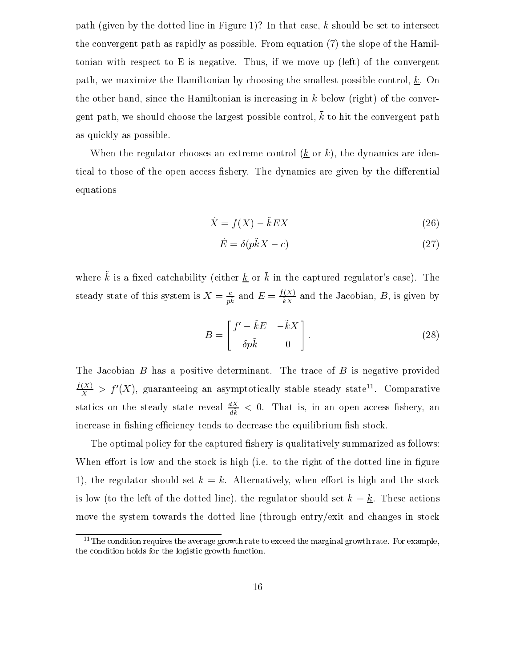path (given by the dotted line in Figure 1)? In that case, k should be set to intersect the convergent path as rapidly as possible. From equation (7) the slope of the Hamiltonian with respect to E is negative. Thus, if we move up (left) of the convergent path, we maximize the Hamiltonian by choosing the smallest possible control,  $\underline{k}$ . On the other hand, since the Hamiltonian is increasing in  $k$  below (right) of the convergent path, we should choose the largest possible control,  $\bar{k}$  to hit the convergent path as quickly as possible.

When the regulator chooses an extreme control  $(k \text{ or } \bar{k})$ , the dynamics are identical to those of the open access fishery. The dynamics are given by the differential equations

$$
\dot{X} = f(X) - \tilde{k}EX
$$
\n(26)

$$
\dot{E} = \delta(p\tilde{k}X - c) \tag{27}
$$

where  $\tilde{k}$  is a fixed catchability (either <u>k</u> or  $\bar{k}$  in the captured regulator's case). The steady state of this system is  $X = \frac{1}{pk}$  and  $E = \frac{1}{kX}$  and the Jacobian,  $B$ , is given by

$$
B = \begin{bmatrix} f' - \tilde{k}E & -\tilde{k}X \\ \delta p\tilde{k} & 0 \end{bmatrix}.
$$
 (28)

The Jacobian  $B$  has a positive determinant. The trace of  $B$  is negative provided  $\frac{f(X)}{X}$  >  $f'(X)$ , guaranteeing an asymptotically stable steady state... Comparative statics on the steady state reveal  $\frac{d}{dk} < 0$ . That is, in an open access fishery, an increase in fishing efficiency tends to decrease the equilibrium fish stock.

The optimal policy for the captured fishery is qualitatively summarized as follows: When effort is low and the stock is high (i.e. to the right of the dotted line in figure 1), the regulator should set  $k = \bar{k}$ . Alternatively, when effort is high and the stock is low (to the left of the dotted line), the regulator should set  $k = k$ . These actions move the system towards the dotted line (through entry/exit and changes in stock

 $11$ The condition requires the average growth rate to exceed the marginal growth rate. For example, the condition holds for the logistic growth function.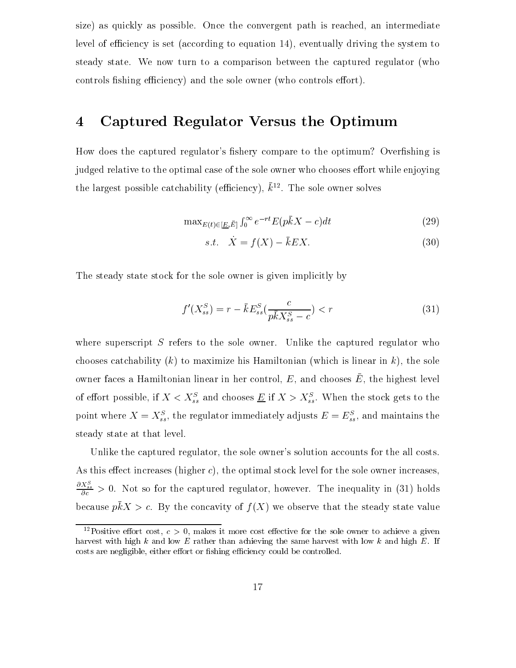size) as quickly as possible. Once the convergent path is reached, an intermediate level of efficiency is set (according to equation 14), eventually driving the system to steady state. We now turn to a comparison between the captured regulator (who controls fishing efficiency) and the sole owner (who controls effort).

#### 4Captured Regulator Versus the Optimum

How does the captured regulator's fishery compare to the optimum? Overfishing is judged relative to the optimal case of the sole owner who chooses effort while enjoying the largest possible catchability (emiclency),  $\kappa$   $\;$  . The sole owner solves

$$
\max_{E(t) \in [\underline{E}, \bar{E}]} \int_0^\infty e^{-rt} E(p\bar{k}X - c) dt \tag{29}
$$

$$
s.t. \quad \dot{X} = f(X) - \bar{k}EX. \tag{30}
$$

The steady state stock for the sole owner is given implicitly by

$$
f'(X_{ss}^S) = r - \bar{k}E_{ss}^S(\frac{c}{p\bar{k}X_{ss}^S - c}) < r \tag{31}
$$

where superscript  $S$  refers to the sole owner. Unlike the captured regulator who chooses catchability  $(k)$  to maximize his Hamiltonian (which is linear in k), the sole owner faces a Hammonian linear in her control,  $E$ , and chooses  $E$ , the highest level of enort possible, if  $A \leq A_{ss}^s$  and chooses  $\underline{E}$  if  $A \geq A_{ss}^s$ . When the stock gets to the point where  $\Lambda = \Lambda_{ss}$ , the regulator immediately adjusts  $E = E_{ss}$ , and maintains the steady state at that level.

Unlike the captured regulator, the sole owner's solution accounts for the all costs. As this effect increases (higher  $c$ ), the optimal stock level for the sole owner increases,  $\frac{\partial X_{ss}^*}{\partial c} > 0$ . Not so for the captured regulator, however. The inequality in (31) holds because  $p\bar{k}X > c$ . By the concavity of  $f(X)$  we observe that the steady state value

<sup>&</sup>lt;sup>12</sup>Positive effort cost,  $c > 0$ , makes it more cost effective for the sole owner to achieve a given harvest with high k and low E rather than achieving the same harvest with low k and high E. If costs are negligible, either effort or fishing efficiency could be controlled.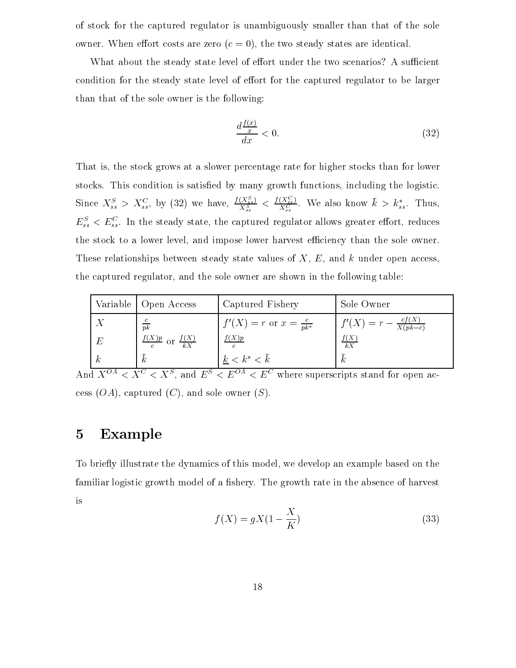of stock for the captured regulator is unambiguously smaller than that of the sole owner. When effort costs are zero  $(c = 0)$ , the two steady states are identical.

What about the steady state level of effort under the two scenarios? A sufficient condition for the steady state level of effort for the captured regulator to be larger than that of the sole owner is the following:

$$
\frac{d\frac{f(x)}{x}}{dx} < 0.\tag{32}
$$

That is, the stock grows at a slower percentage rate for higher stocks than for lower stocks. This condition is satisfied by many growth functions, including the logistic. Since  $X_{ss}^S > X_{ss}^C$ , by (32) we have,  $\frac{I(X_{ss}^S)}{X_{ss}^S} < \frac{I(X_{ss}^S)}{X_{ss}^C}$ . We also know  $k > k_{ss}^*$ . Thus,  $E_{ss}^+$   $\lt E_{ss}^-$ . In the steady state, the captured regulator allows greater enort, reduces the stock to a lower level, and impose lower harvest efficiency than the sole owner. These relationships between steady state values of  $X, E$ , and k under open access, the captured regulator, and the sole owner are shown in the following table:

|                                                         |    | Variable   Open Access                            | Captured Fishery                    | Sole Owner                                |
|---------------------------------------------------------|----|---------------------------------------------------|-------------------------------------|-------------------------------------------|
|                                                         |    | $\overline{pk}$                                   | $f'(X) = r$ or $x = \frac{c}{pk^*}$ | $f'(X) = r - \frac{cf(X)}{X(p\bar{k}-c)}$ |
|                                                         | E  | $\frac{f(X)p}{c}$ or $\frac{f(X)}{\overline{k}X}$ | f(X)p                               | $\frac{f(X)}{\bar{k}X}$                   |
|                                                         | K, |                                                   | $k < k^* < \bar{k}$                 | $\boldsymbol{k}$                          |
| $1.75\pm0.04$ . $10^{11}$<br>$\cdots$ $\cdots$ $\cdots$ |    |                                                   |                                     |                                           |

And  $A^{\perp\perp} \leq A^{\perp} \leq A^{\perp}$ , and  $E^{\perp} \leq E^{\perp\perp} \leq E^{\perp}$  where superscripts stand for open access  $(OA)$ , captured  $(C)$ , and sole owner  $(S)$ .

## 5Example

To briefly illustrate the dynamics of this model, we develop an example based on the familiar logistic growth model of a fishery. The growth rate in the absence of harvest is

$$
f(X) = gX(1 - \frac{X}{K})
$$
\n(33)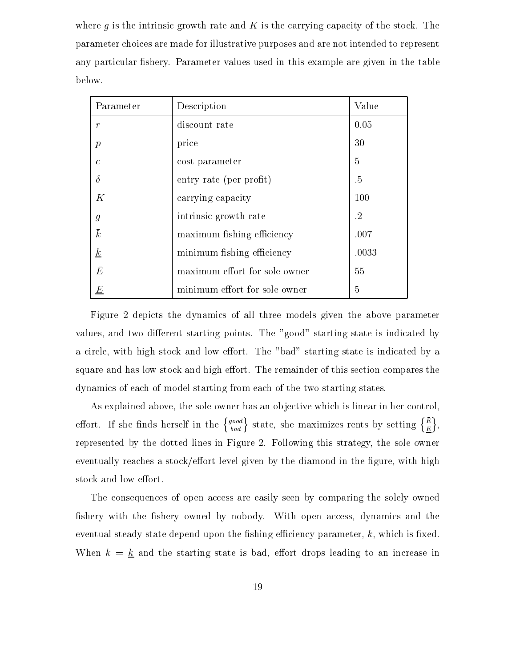where g is the intrinsic growth rate and  $K$  is the carrying capacity of the stock. The parameter choices are made for illustrative purposes and are not intended to represent any particular fishery. Parameter values used in this example are given in the table below.

| Parameter       | Description                   | Value                |
|-----------------|-------------------------------|----------------------|
| $\mathcal{T}$   | discount rate                 | 0.05                 |
| $\mathcal{p}$   | price                         | 30                   |
| $\mathcal{C}$   | cost parameter                | $\overline{5}$       |
| $\delta$        | entry rate (per profit)       | .5                   |
| K               | carrying capacity             | 100                  |
| $\mathfrak{g}$  | intrinsic growth rate         | $\cdot$ <sup>2</sup> |
| $\bar{k}$       | maximum fishing efficiency    | .007                 |
| $\underline{k}$ | minimum fishing efficiency    | .0033                |
| $\bar{E}$       | maximum effort for sole owner | 55                   |
| $\overline{E}$  | minimum effort for sole owner | 5                    |

Figure 2 depicts the dynamics of all three models given the above parameter values, and two different starting points. The "good" starting state is indicated by a circle, with high stock and low effort. The "bad" starting state is indicated by a square and has low stock and high effort. The remainder of this section compares the dynamics of each of model starting from each of the two starting states.

As explained above, the sole owner has an objective which is linear in her control, effort. If she finds herself in the  $\{g^{good}_{bad}\}$  state, she maximizes rents by setting  $\{E\over E\}$ , represented by the dotted lines in Figure 2.Following this strategy, the sole owner eventually reaches a stock/effort level given by the diamond in the figure, with high stock and low effort.

The consequences of open access are easily seen by comparing the solely owned fishery with the fishery owned by nobody. With open access, dynamics and the eventual steady state depend upon the fishing efficiency parameter,  $k$ , which is fixed. When  $k = k$  and the starting state is bad, effort drops leading to an increase in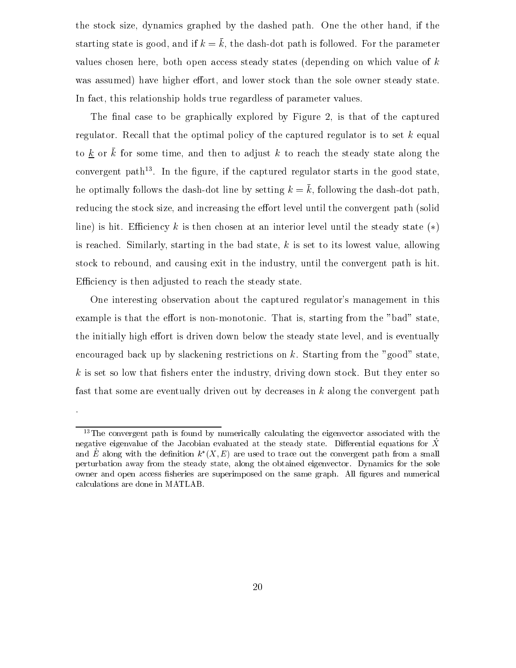the stock size, dynamics graphed by the dashed path. One the other hand, if the starting state is good, and if  $k = \bar{k}$ , the dash-dot path is followed. For the parameter values chosen here, both open access steady states (depending on which value of k was assumed) have higher effort, and lower stock than the sole owner steady state. In fact, this relationship holds true regardless of parameter values.

The final case to be graphically explored by Figure 2, is that of the captured regulator. Recall that the optimal policy of the captured regulator is to set  $k$  equal to k or  $\bar{k}$  for some time, and then to adjust k to reach the steady state along the convergent path13 . In the gure, if the captured regulator starts in the good state, he optimally follows the dash-dot line by setting  $k = \overline{k}$ , following the dash-dot path, reducing the stock size, and increasing the effort level until the convergent path (solid line) is hit. Efficiency k is then chosen at an interior level until the steady state  $(*)$ is reached. Similarly, starting in the bad state,  $k$  is set to its lowest value, allowing stock to rebound, and causing exit in the industry, until the convergent path is hit. Efficiency is then adjusted to reach the steady state.

One interesting observation about the captured regulator's management in this example is that the effort is non-monotonic. That is, starting from the "bad" state, the initially high effort is driven down below the steady state level, and is eventually encouraged back up by slackening restrictions on  $k$ . Starting from the "good" state,  $k$  is set so low that fishers enter the industry, driving down stock. But they enter so fast that some are eventually driven out by decreases in  $k$  along the convergent path

 $\ddot{\phantom{a}}$ 

<sup>&</sup>lt;sup>13</sup>The convergent path is found by numerically calculating the eigenvector associated with the negative eigenvalue of the Jacobian evaluated at the steady state. Differential equations for X and  $E$  along with the definition  $\kappa$  ( $\Lambda, E$ ) are used to trace out the convergent path from a small perturbation away from the steady state, along the obtained eigenvector. Dynamics for the sole owner and open access fisheries are superimposed on the same graph. All figures and numerical calculations are done in MATLAB.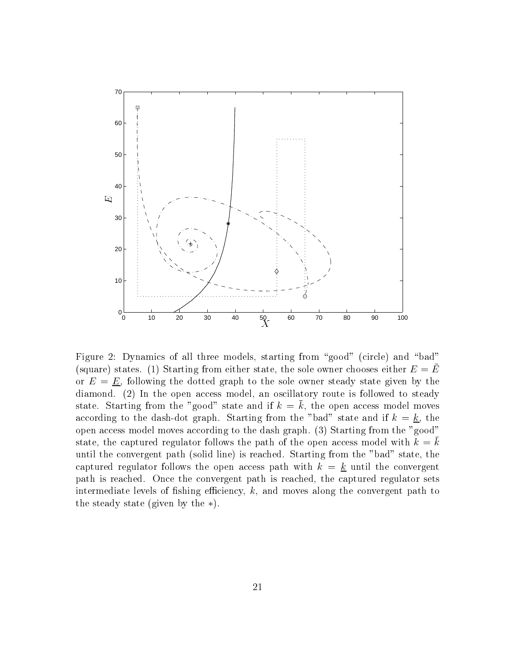

Figure 2: Dynamics of all three models, starting from "good" (circle) and "bad" (square) states. (1) Starting from either state, the sole owner chooses either  $E = E$ or  $E = E$ , following the dotted graph to the sole owner steady state given by the diamond. (2) In the open access model, an oscillatory route is followed to steady state. Starting from the "good" state and if  $k = \overline{k}$ , the open access model moves according to the dash-dot graph. Starting from the "bad" state and if  $k = k$ , the open access model moves according to the dash graph. (3) Starting from the "good" state, the captured regulator follows the path of the open access model with  $k = k$ until the convergent path (solid line) is reached. Starting from the "bad" state, the captured regulator follows the open access path with  $k = k$  until the convergent path is reached. Once the convergent path is reached, the captured regulator sets intermediate levels of fishing efficiency,  $k$ , and moves along the convergent path to the steady state (given by the  $\ast$ ).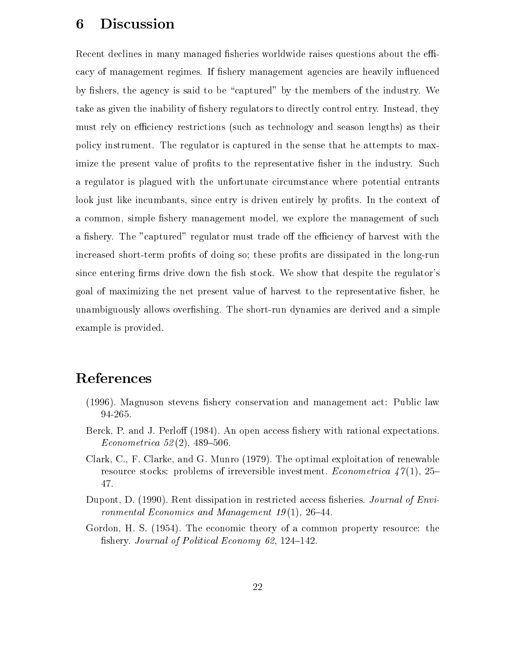#### 6Discussion

Recent declines in many managed fisheries worldwide raises questions about the efficacy of management regimes. If fishery management agencies are heavily influenced by fishers, the agency is said to be "captured" by the members of the industry. We take as given the inability of fishery regulators to directly control entry. Instead, they must rely on efficiency restrictions (such as technology and season lengths) as their policy instrument. The regulator is captured in the sense that he attempts to maximize the present value of profits to the representative fisher in the industry. Such a regulator is plagued with the unfortunate circumstance where potential entrants look just like incumbants, since entry is driven entirely by profits. In the context of a common, simple fishery management model, we explore the management of such a fishery. The "captured" regulator must trade off the efficiency of harvest with the increased short-term profits of doing so; these profits are dissipated in the long-run since entering firms drive down the fish stock. We show that despite the regulator's goal of maximizing the net present value of harvest to the representative fisher, he unambiguously allows overfishing. The short-run dynamics are derived and a simple example is provided.

# References

- (1996). Magnuson stevens fishery conservation and management act: Public law 94-265.
- Berck, P. and J. Perloff (1984). An open access fishery with rational expectations.  $Econometrica 52(2), 489-506.$
- Clark, C., F. Clarke, and G. Munro (1979). The optimal exploitation of renewable resource stocks: problems of irreversible investment. Econometrica  $47(1)$ , 25– 47.
- Dupont, D. (1990). Rent dissipation in restricted access fisheries. Journal of Environmental Economics and Management  $19(1)$ , 26-44.
- Gordon, H. S. (1954). The economic theory of a common property resource: the fishery. Journal of Political Economy 62, 124-142.